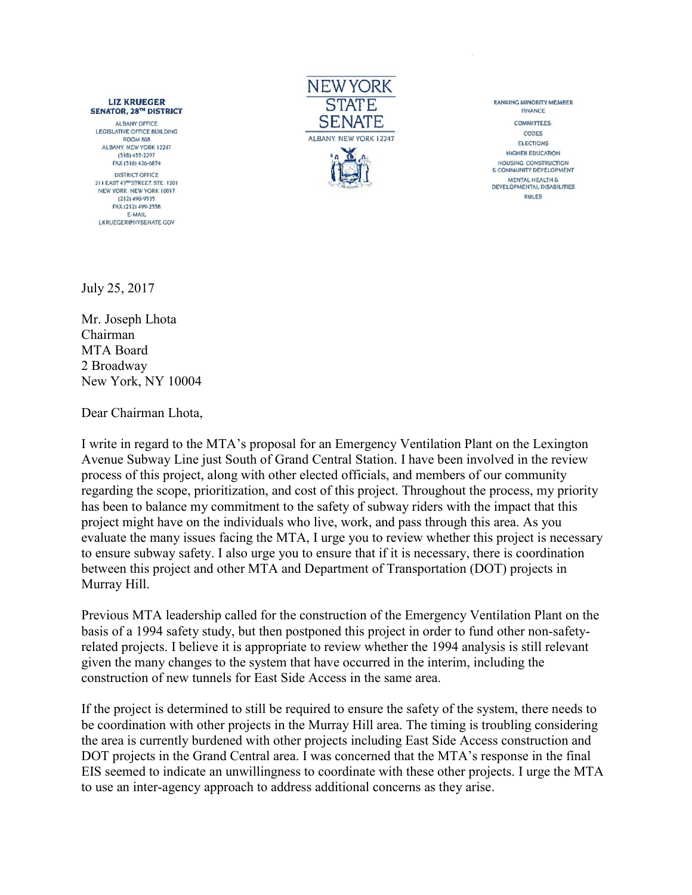## **LIZ KRUEGER SENATOR, 28TH DISTRICT**

ALBANY OFFICE **LEGISLATIVE OFFICE BUILDING ROOM 808** ALBANY, NEW YORK 12247  $(518) 455 - 2297$ FAX (518) 426-6874 **DISTRICT OFFICE** 211 EAST 43<sup>eD</sup> STREET, STE 1201 NEW YORK, NEW YORK 10017 (212) 490-9535 FAX (212) 499-2558 E-MAIL LKRUEGER@NYSENATE GOV



**RANKING MINORITY MEMBER** FINANCE **COMMITTEES:** CODES ELECTIONS **HIGHER EDUCATION** HOUSING, CONSTRUCTION **6 COMMUNITY DEVELOPMENT** MENTAL HEALTH &<br>DEVELOPMENTAL DISABILITIES **RULES** 

July 25, 2017

Mr. Joseph Lhota Chairman MTA Board 2 Broadway New York, NY 10004

Dear Chairman Lhota,

I write in regard to the MTA's proposal for an Emergency Ventilation Plant on the Lexington Avenue Subway Line just South of Grand Central Station. I have been involved in the review process of this project, along with other elected officials, and members of our community regarding the scope, prioritization, and cost of this project. Throughout the process, my priority has been to balance my commitment to the safety of subway riders with the impact that this project might have on the individuals who live, work, and pass through this area. As you evaluate the many issues facing the MTA, I urge you to review whether this project is necessary to ensure subway safety. I also urge you to ensure that if it is necessary, there is coordination between this project and other MTA and Department of Transportation (DOT) projects in Murray Hill.

Previous MTA leadership called for the construction of the Emergency Ventilation Plant on the basis of a 1994 safety study, but then postponed this project in order to fund other non-safetyrelated projects. I believe it is appropriate to review whether the 1994 analysis is still relevant given the many changes to the system that have occurred in the interim, including the construction of new tunnels for East Side Access in the same area.

If the project is determined to still be required to ensure the safety of the system, there needs to be coordination with other projects in the Murray Hill area. The timing is troubling considering the area is currently burdened with other projects including East Side Access construction and DOT projects in the Grand Central area. I was concerned that the MTA's response in the final EIS seemed to indicate an unwillingness to coordinate with these other projects. I urge the MTA to use an inter-agency approach to address additional concerns as they arise.